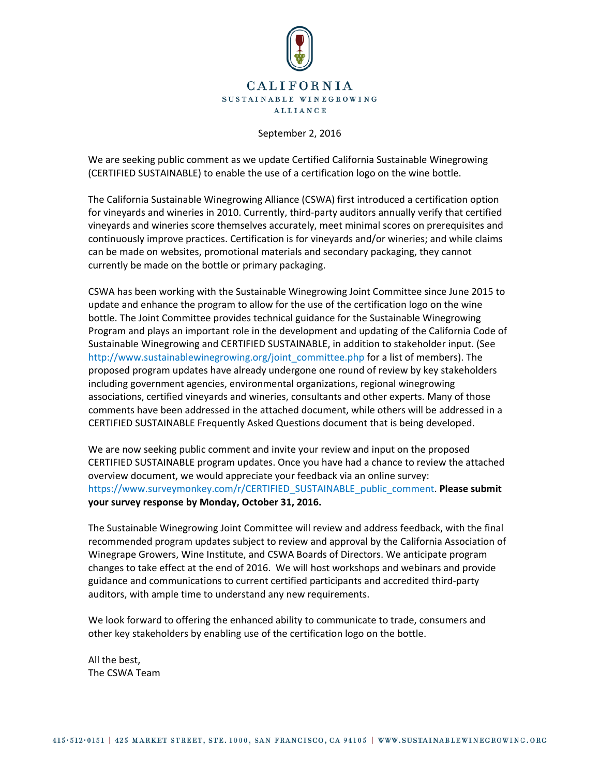

## September 2, 2016

We are seeking public comment as we update Certified California Sustainable Winegrowing (CERTIFIED SUSTAINABLE) to enable the use of a certification logo on the wine bottle.

The California Sustainable Winegrowing Alliance (CSWA) first introduced a certification option for vineyards and wineries in 2010. Currently, third-party auditors annually verify that certified vineyards and wineries score themselves accurately, meet minimal scores on prerequisites and continuously improve practices. Certification is for vineyards and/or wineries; and while claims can be made on websites, promotional materials and secondary packaging, they cannot currently be made on the bottle or primary packaging.

CSWA has been working with the Sustainable Winegrowing Joint Committee since June 2015 to update and enhance the program to allow for the use of the certification logo on the wine bottle. The Joint Committee provides technical guidance for the Sustainable Winegrowing Program and plays an important role in the development and updating of the California Code of Sustainable Winegrowing and CERTIFIED SUSTAINABLE, in addition to stakeholder input. (See [http://www.sustainablewinegrowing.org/joint\\_committee.php](http://www.sustainablewinegrowing.org/joint_committee.php) for a list of members). The proposed program updates have already undergone one round of review by key stakeholders including government agencies, environmental organizations, regional winegrowing associations, certified vineyards and wineries, consultants and other experts. Many of those comments have been addressed in the attached document, while others will be addressed in a CERTIFIED SUSTAINABLE Frequently Asked Questions document that is being developed.

We are now seeking public comment and invite your review and input on the proposed CERTIFIED SUSTAINABLE program updates. Once you have had a chance to review the attached overview document, we would appreciate your feedback via an online survey: [https://www.surveymonkey.com/r/CERTIFIED\\_SUSTAINABLE\\_public\\_comment.](https://www.surveymonkey.com/r/CERTIFIED_SUSTAINABLE_public_comment) **Please submit your survey response by Monday, October 31, 2016.**

The Sustainable Winegrowing Joint Committee will review and address feedback, with the final recommended program updates subject to review and approval by the California Association of Winegrape Growers, Wine Institute, and CSWA Boards of Directors. We anticipate program changes to take effect at the end of 2016. We will host workshops and webinars and provide guidance and communications to current certified participants and accredited third-party auditors, with ample time to understand any new requirements.

We look forward to offering the enhanced ability to communicate to trade, consumers and other key stakeholders by enabling use of the certification logo on the bottle.

All the best, The CSWA Team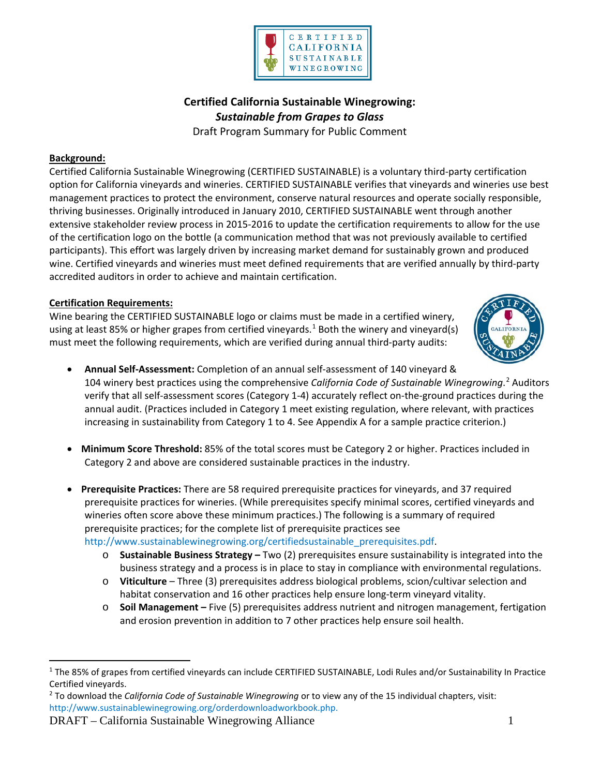

**Certified California Sustainable Winegrowing:** *Sustainable from Grapes to Glass* Draft Program Summary for Public Comment

## **Background:**

Certified California Sustainable Winegrowing (CERTIFIED SUSTAINABLE) is a voluntary third-party certification option for California vineyards and wineries. CERTIFIED SUSTAINABLE verifies that vineyards and wineries use best management practices to protect the environment, conserve natural resources and operate socially responsible, thriving businesses. Originally introduced in January 2010, CERTIFIED SUSTAINABLE went through another extensive stakeholder review process in 2015-2016 to update the certification requirements to allow for the use of the certification logo on the bottle (a communication method that was not previously available to certified participants). This effort was largely driven by increasing market demand for sustainably grown and produced wine. Certified vineyards and wineries must meet defined requirements that are verified annually by third-party accredited auditors in order to achieve and maintain certification.

## **Certification Requirements:**

Wine bearing the CERTIFIED SUSTAINABLE logo or claims must be made in a certified winery, using at least 85% or higher grapes from certified vineyards.<sup>[1](#page-1-0)</sup> Both the winery and vineyard(s) must meet the following requirements, which are verified during annual third-party audits:



- **Annual Self-Assessment:** Completion of an annual self-assessment of 140 vineyard & 104 winery best practices using the comprehensive *California Code of Sustainable Winegrowing*. [2](#page-1-1) Auditors verify that all self-assessment scores (Category 1-4) accurately reflect on-the-ground practices during the annual audit. (Practices included in Category 1 meet existing regulation, where relevant, with practices increasing in sustainability from Category 1 to 4. See Appendix A for a sample practice criterion.)
- **Minimum Score Threshold:** 85% of the total scores must be Category 2 or higher. Practices included in Category 2 and above are considered sustainable practices in the industry.
- **Prerequisite Practices:** There are 58 required prerequisite practices for vineyards, and 37 required prerequisite practices for wineries. (While prerequisites specify minimal scores, certified vineyards and wineries often score above these minimum practices.) The following is a summary of required prerequisite practices; for the complete list of prerequisite practices see

[http://www.sustainablewinegrowing.org/certifiedsustainable\\_prerequisites.pdf.](http://www.sustainablewinegrowing.org/certifiedsustainable_prerequisites.pdf)

- o **Sustainable Business Strategy –** Two (2) prerequisites ensure sustainability is integrated into the business strategy and a process is in place to stay in compliance with environmental regulations.
- o **Viticulture** Three (3) prerequisites address biological problems, scion/cultivar selection and habitat conservation and 16 other practices help ensure long-term vineyard vitality.
- o **Soil Management –** Five (5) prerequisites address nutrient and nitrogen management, fertigation and erosion prevention in addition to 7 other practices help ensure soil health.

<span id="page-1-1"></span><sup>2</sup> To download the *California Code of Sustainable Winegrowing* or to view any of the 15 individual chapters, visit: [http://www.sustainablewinegrowing.org/orderdownloadworkbook.php.](http://www.sustainablewinegrowing.org/orderdownloadworkbook.php)

DRAFT – California Sustainable Winegrowing Alliance 1

<span id="page-1-0"></span><sup>&</sup>lt;sup>1</sup> The 85% of grapes from certified vineyards can include CERTIFIED SUSTAINABLE, Lodi Rules and/or Sustainability In Practice Certified vineyards.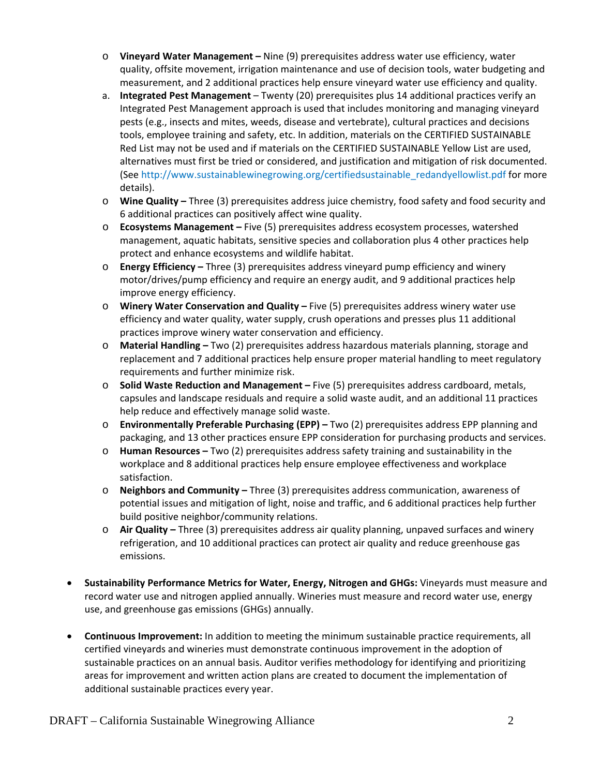- o **Vineyard Water Management –** Nine (9) prerequisites address water use efficiency, water quality, offsite movement, irrigation maintenance and use of decision tools, water budgeting and measurement, and 2 additional practices help ensure vineyard water use efficiency and quality.
- a. **Integrated Pest Management** Twenty (20) prerequisites plus 14 additional practices verify an Integrated Pest Management approach is used that includes monitoring and managing vineyard pests (e.g., insects and mites, weeds, disease and vertebrate), cultural practices and decisions tools, employee training and safety, etc. In addition, materials on the CERTIFIED SUSTAINABLE Red List may not be used and if materials on the CERTIFIED SUSTAINABLE Yellow List are used, alternatives must first be tried or considered, and justification and mitigation of risk documented. (See [http://www.sustainablewinegrowing.org/certifiedsustainable\\_redandyellowlist.pdf](http://www.sustainablewinegrowing.org/certifiedsustainable_redandyellowlist.pdf) for more details).
- o **Wine Quality –** Three (3) prerequisites address juice chemistry, food safety and food security and 6 additional practices can positively affect wine quality.
- o **Ecosystems Management –** Five (5) prerequisites address ecosystem processes, watershed management, aquatic habitats, sensitive species and collaboration plus 4 other practices help protect and enhance ecosystems and wildlife habitat.
- o **Energy Efficiency –** Three (3) prerequisites address vineyard pump efficiency and winery motor/drives/pump efficiency and require an energy audit, and 9 additional practices help improve energy efficiency.
- o **Winery Water Conservation and Quality –** Five (5) prerequisites address winery water use efficiency and water quality, water supply, crush operations and presses plus 11 additional practices improve winery water conservation and efficiency.
- o **Material Handling –** Two (2) prerequisites address hazardous materials planning, storage and replacement and 7 additional practices help ensure proper material handling to meet regulatory requirements and further minimize risk.
- o **Solid Waste Reduction and Management –** Five (5) prerequisites address cardboard, metals, capsules and landscape residuals and require a solid waste audit, and an additional 11 practices help reduce and effectively manage solid waste.
- o **Environmentally Preferable Purchasing (EPP) –** Two (2) prerequisites address EPP planning and packaging, and 13 other practices ensure EPP consideration for purchasing products and services.
- o **Human Resources –** Two (2) prerequisites address safety training and sustainability in the workplace and 8 additional practices help ensure employee effectiveness and workplace satisfaction.
- o **Neighbors and Community –** Three (3) prerequisites address communication, awareness of potential issues and mitigation of light, noise and traffic, and 6 additional practices help further build positive neighbor/community relations.
- o **Air Quality –** Three (3) prerequisites address air quality planning, unpaved surfaces and winery refrigeration, and 10 additional practices can protect air quality and reduce greenhouse gas emissions.
- **Sustainability Performance Metrics for Water, Energy, Nitrogen and GHGs:** Vineyards must measure and record water use and nitrogen applied annually. Wineries must measure and record water use, energy use, and greenhouse gas emissions (GHGs) annually.
- **Continuous Improvement:** In addition to meeting the minimum sustainable practice requirements, all certified vineyards and wineries must demonstrate continuous improvement in the adoption of sustainable practices on an annual basis. Auditor verifies methodology for identifying and prioritizing areas for improvement and written action plans are created to document the implementation of additional sustainable practices every year.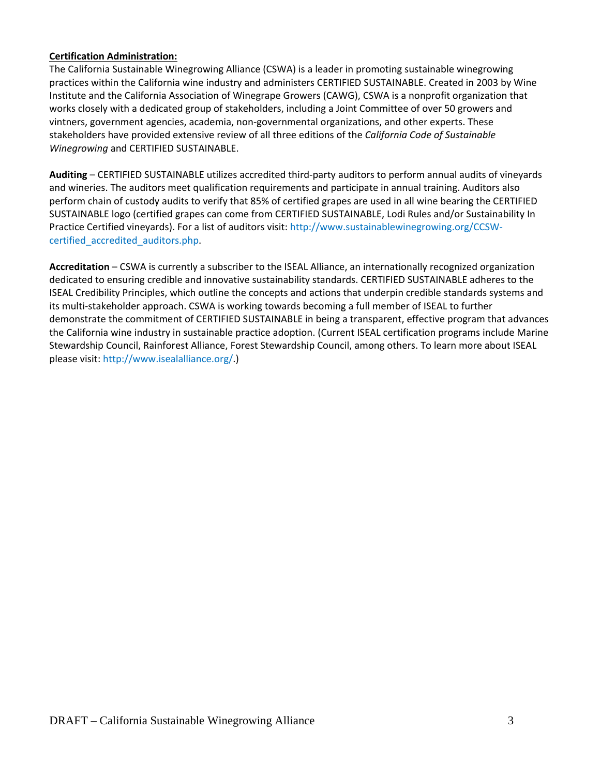## **Certification Administration:**

The California Sustainable Winegrowing Alliance (CSWA) is a leader in promoting sustainable winegrowing practices within the California wine industry and administers CERTIFIED SUSTAINABLE. Created in 2003 by Wine Institute and the California Association of Winegrape Growers (CAWG), CSWA is a nonprofit organization that works closely with a dedicated group of stakeholders, including a Joint Committee of over 50 growers and vintners, government agencies, academia, non-governmental organizations, and other experts. These stakeholders have provided extensive review of all three editions of the *California Code of Sustainable Winegrowing* and CERTIFIED SUSTAINABLE.

**Auditing** – CERTIFIED SUSTAINABLE utilizes accredited third-party auditors to perform annual audits of vineyards and wineries. The auditors meet qualification requirements and participate in annual training. Auditors also perform chain of custody audits to verify that 85% of certified grapes are used in all wine bearing the CERTIFIED SUSTAINABLE logo (certified grapes can come from CERTIFIED SUSTAINABLE, Lodi Rules and/or Sustainability In Practice Certified vineyards). For a list of auditors visit: [http://www.sustainablewinegrowing.org/CCSW](http://www.sustainablewinegrowing.org/CCSW-certified_accredited_auditors.php)[certified\\_accredited\\_auditors.php.](http://www.sustainablewinegrowing.org/CCSW-certified_accredited_auditors.php)

**Accreditation** – CSWA is currently a subscriber to the ISEAL Alliance, an internationally recognized organization dedicated to ensuring credible and innovative sustainability standards. CERTIFIED SUSTAINABLE adheres to the ISEAL Credibility Principles, which outline the concepts and actions that underpin credible standards systems and its multi-stakeholder approach. CSWA is working towards becoming a full member of ISEAL to further demonstrate the commitment of CERTIFIED SUSTAINABLE in being a transparent, effective program that advances the California wine industry in sustainable practice adoption. (Current ISEAL certification programs include Marine Stewardship Council, Rainforest Alliance, Forest Stewardship Council, among others. To learn more about ISEAL please visit: [http://www.isealalliance.org/.](http://www.isealalliance.org/))